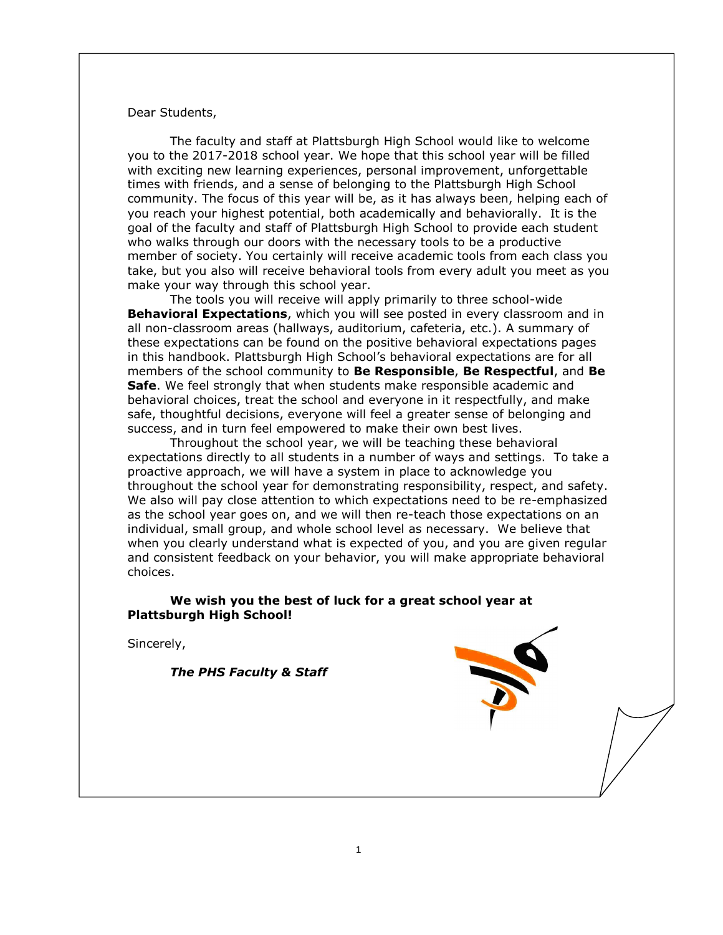Dear Students,

The faculty and staff at Plattsburgh High School would like to welcome you to the 2017-2018 school year. We hope that this school year will be filled with exciting new learning experiences, personal improvement, unforgettable times with friends, and a sense of belonging to the Plattsburgh High School community. The focus of this year will be, as it has always been, helping each of you reach your highest potential, both academically and behaviorally. It is the goal of the faculty and staff of Plattsburgh High School to provide each student who walks through our doors with the necessary tools to be a productive member of society. You certainly will receive academic tools from each class you take, but you also will receive behavioral tools from every adult you meet as you make your way through this school year.

The tools you will receive will apply primarily to three school-wide **Behavioral Expectations**, which you will see posted in every classroom and in all non-classroom areas (hallways, auditorium, cafeteria, etc.). A summary of these expectations can be found on the positive behavioral expectations pages in this handbook. Plattsburgh High School's behavioral expectations are for all members of the school community to **Be Responsible**, **Be Respectful**, and **Be Safe**. We feel strongly that when students make responsible academic and behavioral choices, treat the school and everyone in it respectfully, and make safe, thoughtful decisions, everyone will feel a greater sense of belonging and success, and in turn feel empowered to make their own best lives.

Throughout the school year, we will be teaching these behavioral expectations directly to all students in a number of ways and settings. To take a proactive approach, we will have a system in place to acknowledge you throughout the school year for demonstrating responsibility, respect, and safety. We also will pay close attention to which expectations need to be re-emphasized as the school year goes on, and we will then re-teach those expectations on an individual, small group, and whole school level as necessary. We believe that when you clearly understand what is expected of you, and you are given regular and consistent feedback on your behavior, you will make appropriate behavioral choices.

#### **We wish you the best of luck for a great school year at Plattsburgh High School!**

Sincerely,

*The PHS Faculty & Staff*

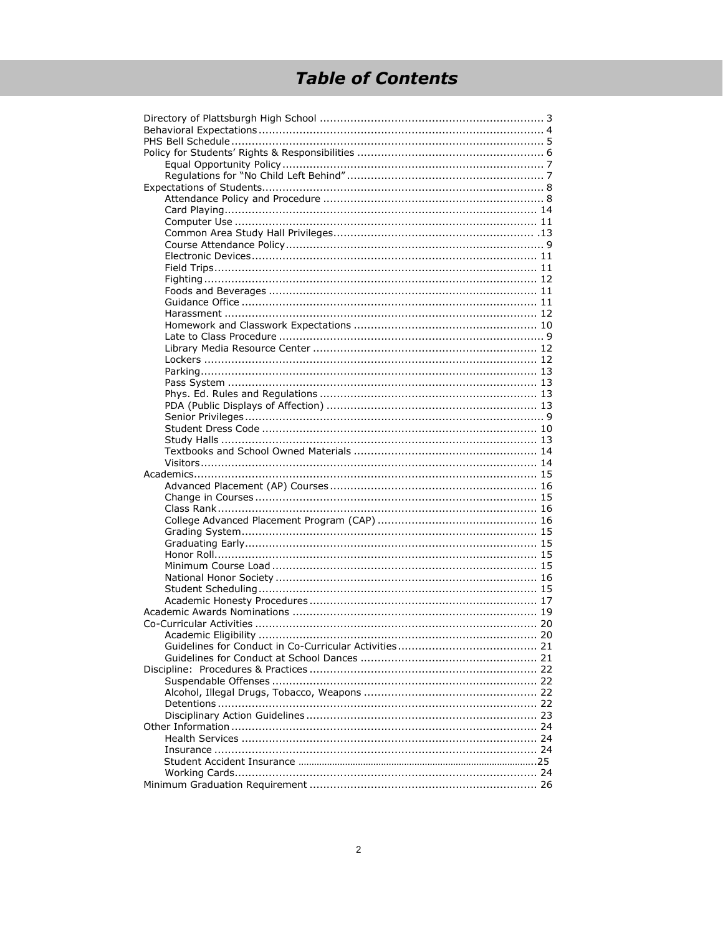# **Table of Contents**

| Health Services …………………………………………………………………………… 24 |  |
|--------------------------------------------------|--|
|                                                  |  |
|                                                  |  |
|                                                  |  |
|                                                  |  |
|                                                  |  |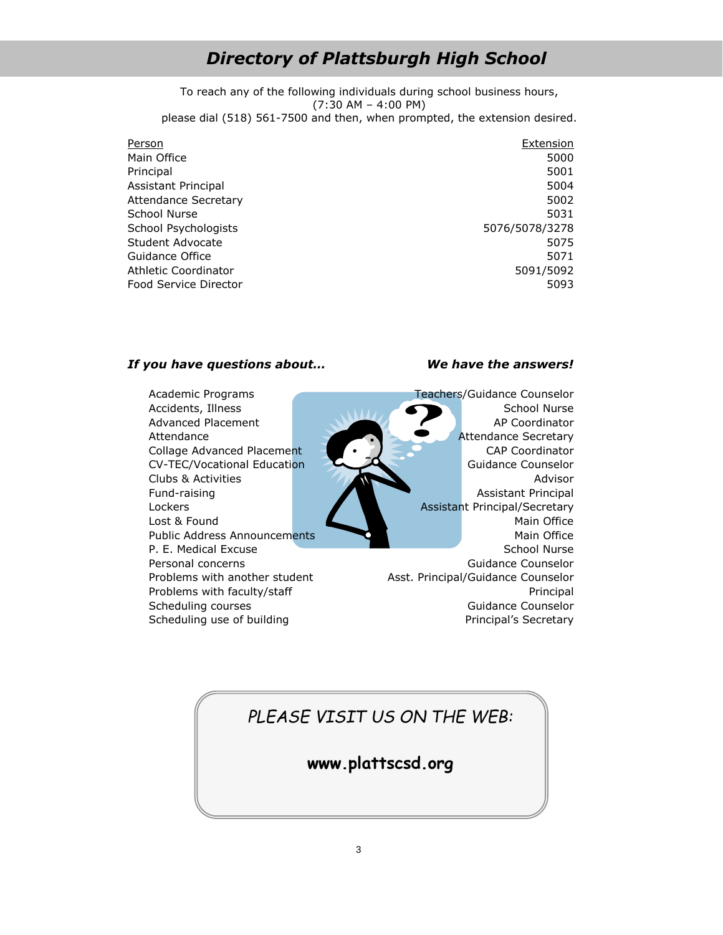# *Directory of Plattsburgh High School*

To reach any of the following individuals during school business hours, (7:30 AM – 4:00 PM) please dial (518) 561-7500 and then, when prompted, the extension desired.

- Person **Extension** Main Office 5000 **5000** Principal 5001 Assistant Principal 5004 Attendance Secretary 6002 School Nurse 5031 School Psychologists 5076/5078/3278 Student Advocate 5075 Guidance Office 5071 Athletic Coordinator 5091/5092 Food Service Director 5093
	-

#### *If you have questions about… We have the answers!*

| Academic Programs<br>Accidents, Illness<br>Advanced Placement<br>Attendance<br>Collage Advanced Placement<br>CV-TEC/Vocational Education<br>Clubs & Activities<br>Fund-raising<br>Lockers<br>Lost & Found<br>Public Address Announcements | Teachers/Guidance Counselor<br><b>School Nurse</b><br>AP Coordinator<br><b>Attendance Secretary</b><br><b>CAP Coordinator</b><br>Guidance Counselor<br>Advisor<br>Assistant Principal<br><b>Assistant Principal/Secretary</b><br>Main Office<br>Main Office |
|-------------------------------------------------------------------------------------------------------------------------------------------------------------------------------------------------------------------------------------------|-------------------------------------------------------------------------------------------------------------------------------------------------------------------------------------------------------------------------------------------------------------|
| P. E. Medical Excuse<br>Personal concerns<br>Problems with another student                                                                                                                                                                | School Nurse<br><b>Guidance Counselor</b><br>Asst. Principal/Guidance Counselor                                                                                                                                                                             |
| Problems with faculty/staff<br>Scheduling courses<br>Scheduling use of building                                                                                                                                                           | Principal<br>Guidance Counselor<br>Principal's Secretary                                                                                                                                                                                                    |

# *PLEASE VISIT US ON THE WEB:*

**www.plattscsd.org**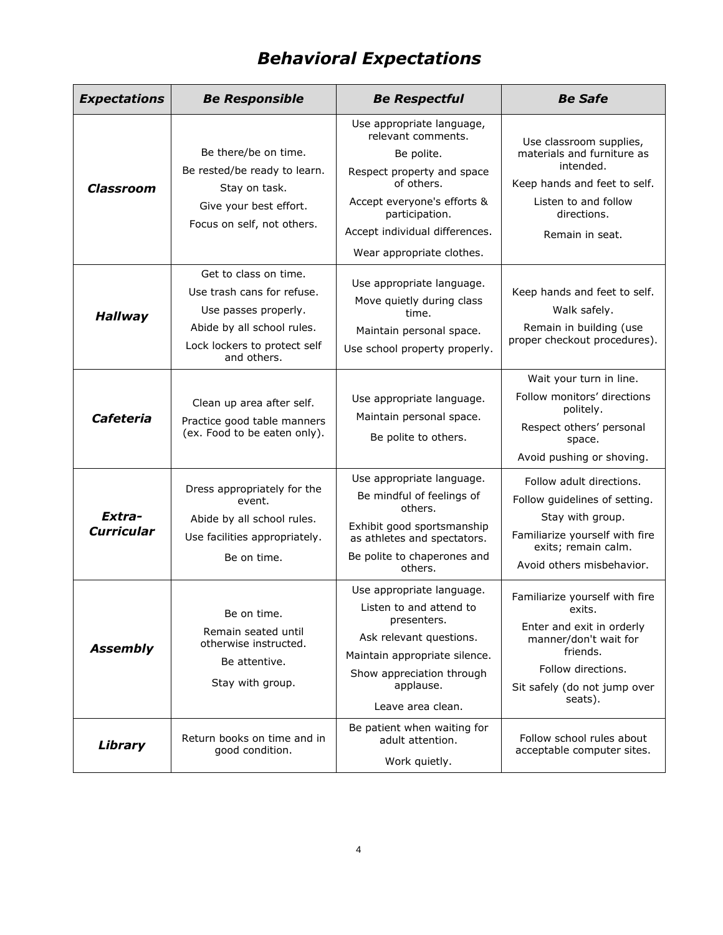# *Behavioral Expectations*

| <b>Expectations</b>         | <b>Be Responsible</b>                                                                                                                                    | <b>Be Respectful</b>                                                                                                                                                                                                      | <b>Be Safe</b>                                                                                                                                                              |
|-----------------------------|----------------------------------------------------------------------------------------------------------------------------------------------------------|---------------------------------------------------------------------------------------------------------------------------------------------------------------------------------------------------------------------------|-----------------------------------------------------------------------------------------------------------------------------------------------------------------------------|
| Classroom                   | Be there/be on time.<br>Be rested/be ready to learn.<br>Stay on task.<br>Give your best effort.<br>Focus on self, not others.                            | Use appropriate language,<br>relevant comments.<br>Be polite.<br>Respect property and space<br>of others.<br>Accept everyone's efforts &<br>participation.<br>Accept individual differences.<br>Wear appropriate clothes. | Use classroom supplies,<br>materials and furniture as<br>intended.<br>Keep hands and feet to self.<br>Listen to and follow<br>directions.<br>Remain in seat.                |
| <b>Hallway</b>              | Get to class on time.<br>Use trash cans for refuse.<br>Use passes properly.<br>Abide by all school rules.<br>Lock lockers to protect self<br>and others. | Use appropriate language.<br>Move quietly during class<br>time.<br>Maintain personal space.<br>Use school property properly.                                                                                              | Keep hands and feet to self.<br>Walk safely.<br>Remain in building (use<br>proper checkout procedures).                                                                     |
| <b>Cafeteria</b>            | Clean up area after self.<br>Practice good table manners<br>(ex. Food to be eaten only).                                                                 | Use appropriate language.<br>Maintain personal space.<br>Be polite to others.                                                                                                                                             | Wait your turn in line.<br>Follow monitors' directions<br>politely.<br>Respect others' personal<br>space.<br>Avoid pushing or shoving.                                      |
| Extra-<br><b>Curricular</b> | Dress appropriately for the<br>event.<br>Abide by all school rules.<br>Use facilities appropriately.<br>Be on time.                                      | Use appropriate language.<br>Be mindful of feelings of<br>others.<br>Exhibit good sportsmanship<br>as athletes and spectators.<br>Be polite to chaperones and<br>others.                                                  | Follow adult directions.<br>Follow guidelines of setting.<br>Stay with group.<br>Familiarize yourself with fire<br>exits; remain calm.<br>Avoid others misbehavior.         |
| <b>Assembly</b>             | Be on time.<br>Remain seated until<br>otherwise instructed.<br>Be attentive.<br>Stay with group.                                                         | Use appropriate language.<br>Listen to and attend to<br>presenters.<br>Ask relevant questions.<br>Maintain appropriate silence.<br>Show appreciation through<br>applause.<br>Leave area clean.                            | Familiarize yourself with fire<br>exits.<br>Enter and exit in orderly<br>manner/don't wait for<br>friends.<br>Follow directions.<br>Sit safely (do not jump over<br>seats). |
| Library                     | Return books on time and in<br>good condition.                                                                                                           | Be patient when waiting for<br>adult attention.<br>Work quietly.                                                                                                                                                          | Follow school rules about<br>acceptable computer sites.                                                                                                                     |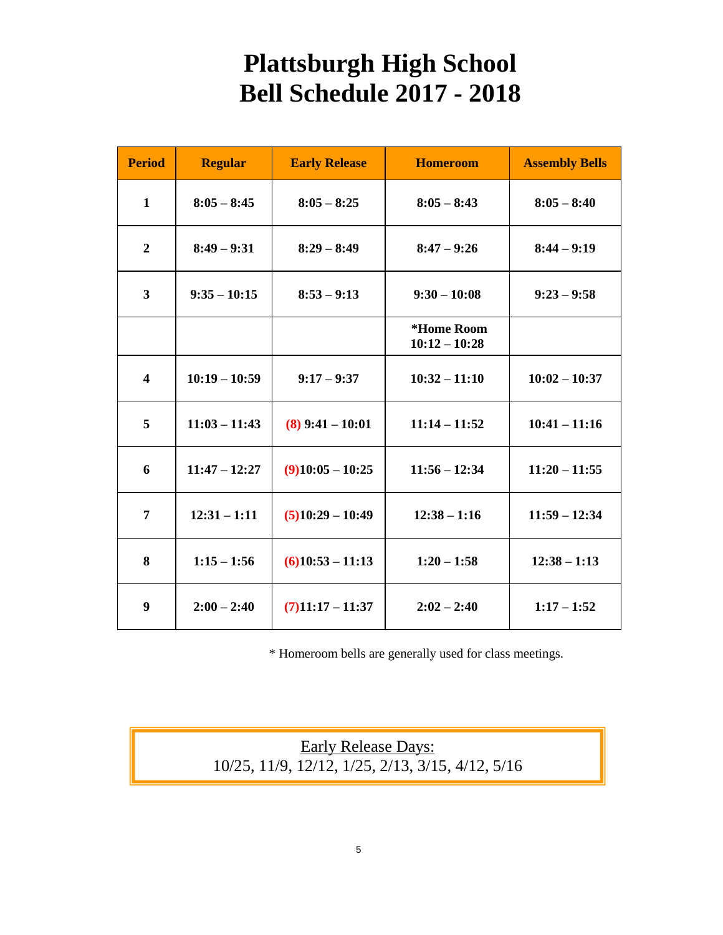# **Plattsburgh High School Bell Schedule 2017 - 2018**

| <b>Period</b>           | <b>Regular</b>  | <b>Early Release</b> | <b>Homeroom</b>               | <b>Assembly Bells</b> |
|-------------------------|-----------------|----------------------|-------------------------------|-----------------------|
| $\mathbf{1}$            | $8:05 - 8:45$   | $8:05 - 8:25$        | $8:05 - 8:43$                 | $8:05 - 8:40$         |
| $\overline{2}$          | $8:49 - 9:31$   | $8:29 - 8:49$        | $8:47 - 9:26$                 | $8:44 - 9:19$         |
| $\mathbf{3}$            | $9:35 - 10:15$  | $8:53 - 9:13$        | $9:30 - 10:08$                | $9:23 - 9:58$         |
|                         |                 |                      | *Home Room<br>$10:12 - 10:28$ |                       |
| $\overline{\mathbf{4}}$ | $10:19 - 10:59$ | $9:17 - 9:37$        | $10:32 - 11:10$               | $10:02 - 10:37$       |
| 5                       | $11:03 - 11:43$ | $(8)$ 9:41 - 10:01   | $11:14 - 11:52$               | $10:41 - 11:16$       |
| 6                       | $11:47 - 12:27$ | $(9)10:05 - 10:25$   | $11:56 - 12:34$               | $11:20 - 11:55$       |
| 7                       | $12:31 - 1:11$  | $(5)10:29 - 10:49$   | $12:38 - 1:16$                | $11:59 - 12:34$       |
| 8                       | $1:15 - 1:56$   | $(6)$ 10:53 - 11:13  | $1:20 - 1:58$                 | $12:38 - 1:13$        |
| 9                       | $2:00 - 2:40$   | $(7)$ 11:17 - 11:37  | $2:02 - 2:40$                 | $1:17 - 1:52$         |

\* Homeroom bells are generally used for class meetings.

# Early Release Days: 10/25, 11/9, 12/12, 1/25, 2/13, 3/15, 4/12, 5/16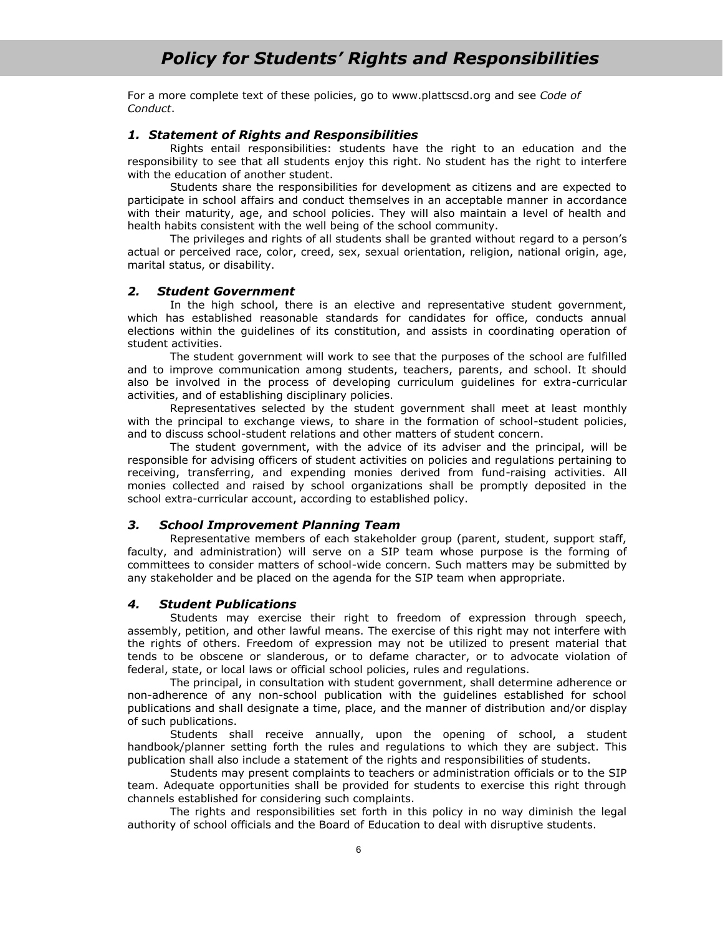# *Policy for Students' Rights and Responsibilities*

For a more complete text of these policies, go to www.plattscsd.org and see *Code of Conduct*.

# *1. Statement of Rights and Responsibilities*

Rights entail responsibilities: students have the right to an education and the responsibility to see that all students enjoy this right. No student has the right to interfere with the education of another student.

Students share the responsibilities for development as citizens and are expected to participate in school affairs and conduct themselves in an acceptable manner in accordance with their maturity, age, and school policies. They will also maintain a level of health and health habits consistent with the well being of the school community.

The privileges and rights of all students shall be granted without regard to a person's actual or perceived race, color, creed, sex, sexual orientation, religion, national origin, age, marital status, or disability.

#### *2. Student Government*

In the high school, there is an elective and representative student government, which has established reasonable standards for candidates for office, conducts annual elections within the guidelines of its constitution, and assists in coordinating operation of student activities.

The student government will work to see that the purposes of the school are fulfilled and to improve communication among students, teachers, parents, and school. It should also be involved in the process of developing curriculum guidelines for extra-curricular activities, and of establishing disciplinary policies.

Representatives selected by the student government shall meet at least monthly with the principal to exchange views, to share in the formation of school-student policies, and to discuss school-student relations and other matters of student concern.

The student government, with the advice of its adviser and the principal, will be responsible for advising officers of student activities on policies and regulations pertaining to receiving, transferring, and expending monies derived from fund-raising activities. All monies collected and raised by school organizations shall be promptly deposited in the school extra-curricular account, according to established policy.

#### *3. School Improvement Planning Team*

Representative members of each stakeholder group (parent, student, support staff, faculty, and administration) will serve on a SIP team whose purpose is the forming of committees to consider matters of school-wide concern. Such matters may be submitted by any stakeholder and be placed on the agenda for the SIP team when appropriate.

#### *4. Student Publications*

Students may exercise their right to freedom of expression through speech, assembly, petition, and other lawful means. The exercise of this right may not interfere with the rights of others. Freedom of expression may not be utilized to present material that tends to be obscene or slanderous, or to defame character, or to advocate violation of federal, state, or local laws or official school policies, rules and regulations.

The principal, in consultation with student government, shall determine adherence or non-adherence of any non-school publication with the guidelines established for school publications and shall designate a time, place, and the manner of distribution and/or display of such publications.

Students shall receive annually, upon the opening of school, a student handbook/planner setting forth the rules and regulations to which they are subject. This publication shall also include a statement of the rights and responsibilities of students.

Students may present complaints to teachers or administration officials or to the SIP team. Adequate opportunities shall be provided for students to exercise this right through channels established for considering such complaints.

The rights and responsibilities set forth in this policy in no way diminish the legal authority of school officials and the Board of Education to deal with disruptive students.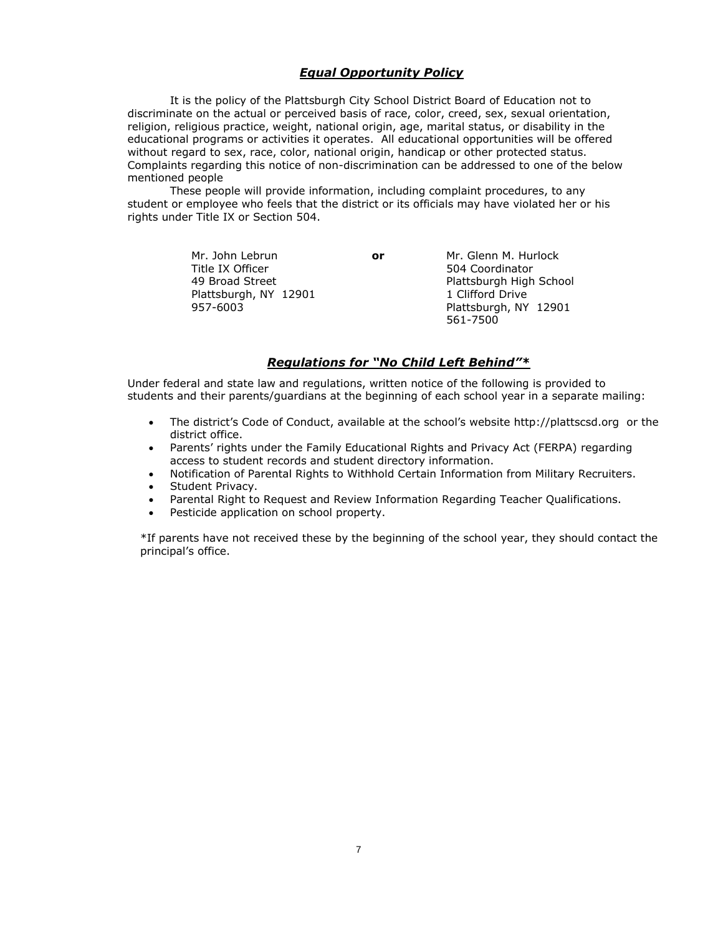#### *Equal Opportunity Policy*

It is the policy of the Plattsburgh City School District Board of Education not to discriminate on the actual or perceived basis of race, color, creed, sex, sexual orientation, religion, religious practice, weight, national origin, age, marital status, or disability in the educational programs or activities it operates. All educational opportunities will be offered without regard to sex, race, color, national origin, handicap or other protected status. Complaints regarding this notice of non-discrimination can be addressed to one of the below mentioned people

These people will provide information, including complaint procedures, to any student or employee who feels that the district or its officials may have violated her or his rights under Title IX or Section 504.

> Mr. John Lebrun Title IX Officer 49 Broad Street Plattsburgh, NY 12901 957-6003

**or** Mr. Glenn M. Hurlock 504 Coordinator Plattsburgh High School 1 Clifford Drive Plattsburgh, NY 12901 561-7500

#### *Regulations for "No Child Left Behind"\**

Under federal and state law and regulations, written notice of the following is provided to students and their parents/guardians at the beginning of each school year in a separate mailing:

- The district's Code of Conduct, available at the school's website http://plattscsd.org or the district office.
- Parents' rights under the Family Educational Rights and Privacy Act (FERPA) regarding access to student records and student directory information.
- Notification of Parental Rights to Withhold Certain Information from Military Recruiters.
- Student Privacy.
- Parental Right to Request and Review Information Regarding Teacher Qualifications.
- Pesticide application on school property.

\*If parents have not received these by the beginning of the school year, they should contact the principal's office.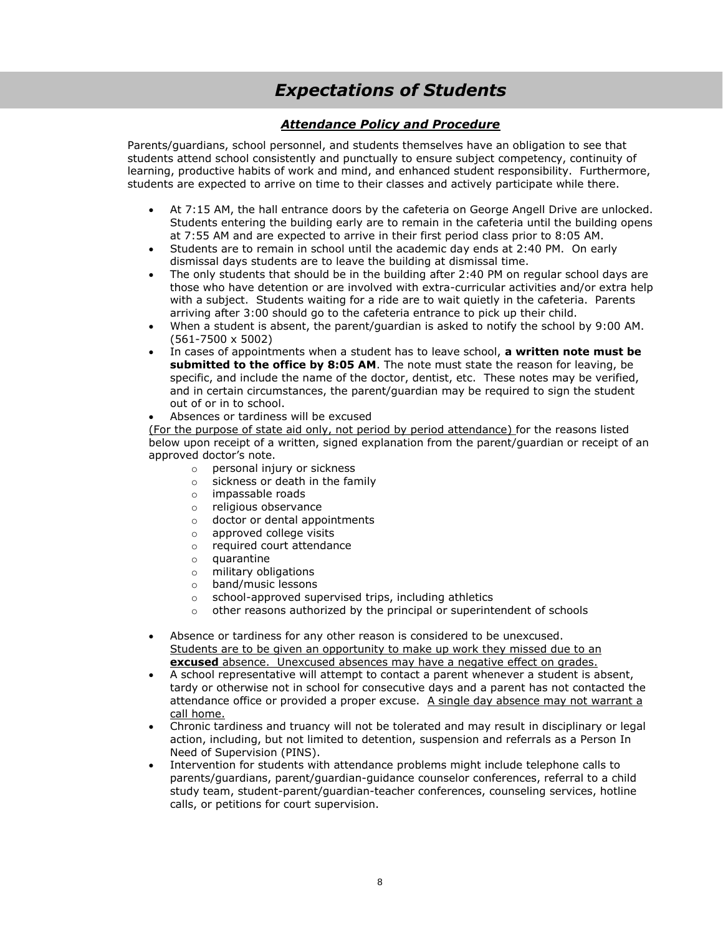# *Expectations of Students*

## *Attendance Policy and Procedure*

Parents/guardians, school personnel, and students themselves have an obligation to see that students attend school consistently and punctually to ensure subject competency, continuity of learning, productive habits of work and mind, and enhanced student responsibility. Furthermore, students are expected to arrive on time to their classes and actively participate while there.

- At 7:15 AM, the hall entrance doors by the cafeteria on George Angell Drive are unlocked. Students entering the building early are to remain in the cafeteria until the building opens at 7:55 AM and are expected to arrive in their first period class prior to 8:05 AM.
- Students are to remain in school until the academic day ends at 2:40 PM. On early dismissal days students are to leave the building at dismissal time.
- The only students that should be in the building after 2:40 PM on regular school days are those who have detention or are involved with extra-curricular activities and/or extra help with a subject. Students waiting for a ride are to wait quietly in the cafeteria. Parents arriving after 3:00 should go to the cafeteria entrance to pick up their child.
- When a student is absent, the parent/guardian is asked to notify the school by 9:00 AM. (561-7500 x 5002)
- In cases of appointments when a student has to leave school, **a written note must be submitted to the office by 8:05 AM**. The note must state the reason for leaving, be specific, and include the name of the doctor, dentist, etc. These notes may be verified, and in certain circumstances, the parent/guardian may be required to sign the student out of or in to school.
- Absences or tardiness will be excused

(For the purpose of state aid only, not period by period attendance) for the reasons listed below upon receipt of a written, signed explanation from the parent/guardian or receipt of an approved doctor's note.

- o personal injury or sickness
- o sickness or death in the family
- o impassable roads
- o religious observance
- o doctor or dental appointments
- o approved college visits
- o required court attendance
- o quarantine
- o military obligations
- o band/music lessons
- o school-approved supervised trips, including athletics
- o other reasons authorized by the principal or superintendent of schools
- Absence or tardiness for any other reason is considered to be unexcused. Students are to be given an opportunity to make up work they missed due to an **excused** absence. Unexcused absences may have a negative effect on grades.
- A school representative will attempt to contact a parent whenever a student is absent, tardy or otherwise not in school for consecutive days and a parent has not contacted the attendance office or provided a proper excuse. A single day absence may not warrant a call home.
- Chronic tardiness and truancy will not be tolerated and may result in disciplinary or legal action, including, but not limited to detention, suspension and referrals as a Person In Need of Supervision (PINS).
- Intervention for students with attendance problems might include telephone calls to parents/guardians, parent/guardian-guidance counselor conferences, referral to a child study team, student-parent/guardian-teacher conferences, counseling services, hotline calls, or petitions for court supervision.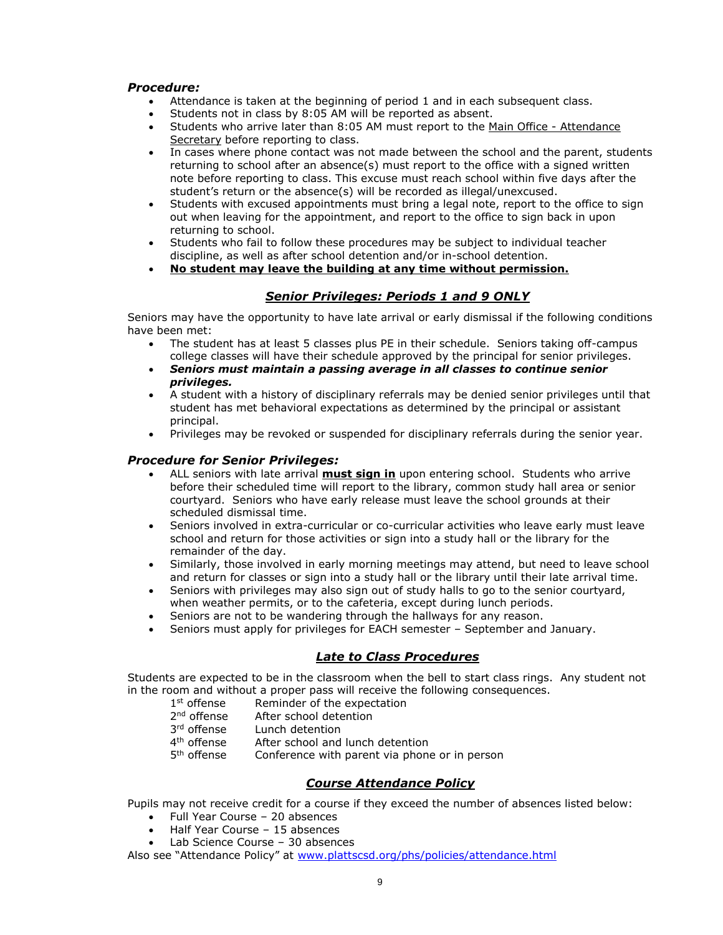#### *Procedure:*

- Attendance is taken at the beginning of period 1 and in each subsequent class.
- Students not in class by 8:05 AM will be reported as absent.
- Students who arrive later than 8:05 AM must report to the Main Office Attendance Secretary before reporting to class.
- In cases where phone contact was not made between the school and the parent, students returning to school after an absence(s) must report to the office with a signed written note before reporting to class. This excuse must reach school within five days after the student's return or the absence(s) will be recorded as illegal/unexcused.
- Students with excused appointments must bring a legal note, report to the office to sign out when leaving for the appointment, and report to the office to sign back in upon returning to school.
- Students who fail to follow these procedures may be subject to individual teacher discipline, as well as after school detention and/or in-school detention.
- **No student may leave the building at any time without permission.**

### *Senior Privileges: Periods 1 and 9 ONLY*

Seniors may have the opportunity to have late arrival or early dismissal if the following conditions have been met:

- The student has at least 5 classes plus PE in their schedule. Seniors taking off-campus college classes will have their schedule approved by the principal for senior privileges.
- *Seniors must maintain a passing average in all classes to continue senior privileges.*
- A student with a history of disciplinary referrals may be denied senior privileges until that student has met behavioral expectations as determined by the principal or assistant principal.
- Privileges may be revoked or suspended for disciplinary referrals during the senior year.

#### *Procedure for Senior Privileges:*

- ALL seniors with late arrival **must sign in** upon entering school. Students who arrive before their scheduled time will report to the library, common study hall area or senior courtyard. Seniors who have early release must leave the school grounds at their scheduled dismissal time.
- Seniors involved in extra-curricular or co-curricular activities who leave early must leave school and return for those activities or sign into a study hall or the library for the remainder of the day.
- Similarly, those involved in early morning meetings may attend, but need to leave school and return for classes or sign into a study hall or the library until their late arrival time.
- Seniors with privileges may also sign out of study halls to go to the senior courtyard, when weather permits, or to the cafeteria, except during lunch periods.
- Seniors are not to be wandering through the hallways for any reason.
- Seniors must apply for privileges for EACH semester September and January.

#### *Late to Class Procedures*

Students are expected to be in the classroom when the bell to start class rings. Any student not in the room and without a proper pass will receive the following consequences.

- $1<sup>st</sup>$  offense Reminder of the expectation
- 2<sup>nd</sup> offense After school detention
- 3<sup>rd</sup> offense Lunch detention
- 4<sup>th</sup> offense After school and lunch detention
- 5<sup>th</sup> offense Conference with parent via phone or in person

### *Course Attendance Policy*

Pupils may not receive credit for a course if they exceed the number of absences listed below:

- Full Year Course 20 absences
- Half Year Course 15 absences
- Lab Science Course 30 absences

Also see "Attendance Policy" at www.plattscsd.org/phs/policies/attendance.html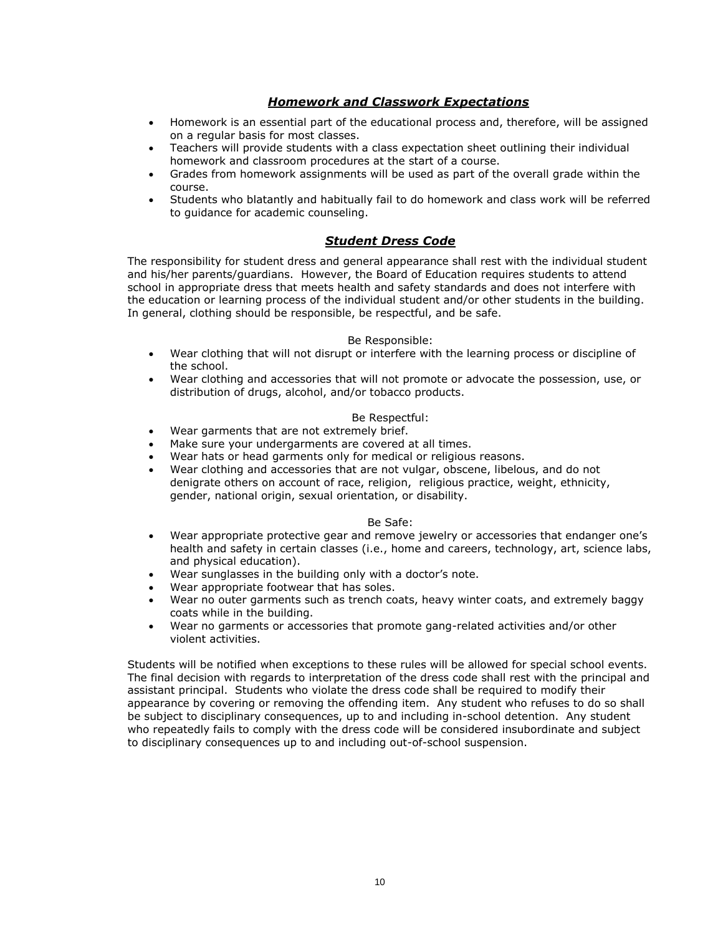# *Homework and Classwork Expectations*

- Homework is an essential part of the educational process and, therefore, will be assigned on a regular basis for most classes.
- Teachers will provide students with a class expectation sheet outlining their individual homework and classroom procedures at the start of a course.
- Grades from homework assignments will be used as part of the overall grade within the course.
- Students who blatantly and habitually fail to do homework and class work will be referred to guidance for academic counseling.

# *Student Dress Code*

The responsibility for student dress and general appearance shall rest with the individual student and his/her parents/guardians. However, the Board of Education requires students to attend school in appropriate dress that meets health and safety standards and does not interfere with the education or learning process of the individual student and/or other students in the building. In general, clothing should be responsible, be respectful, and be safe.

#### Be Responsible:

- Wear clothing that will not disrupt or interfere with the learning process or discipline of the school.
- Wear clothing and accessories that will not promote or advocate the possession, use, or distribution of drugs, alcohol, and/or tobacco products.

#### Be Respectful:

- Wear garments that are not extremely brief.
- Make sure your undergarments are covered at all times.
- Wear hats or head garments only for medical or religious reasons.
- Wear clothing and accessories that are not vulgar, obscene, libelous, and do not denigrate others on account of race, religion, religious practice, weight, ethnicity, gender, national origin, sexual orientation, or disability.

#### Be Safe:

- Wear appropriate protective gear and remove jewelry or accessories that endanger one's health and safety in certain classes (i.e., home and careers, technology, art, science labs, and physical education).
- Wear sunglasses in the building only with a doctor's note.
- Wear appropriate footwear that has soles.
- Wear no outer garments such as trench coats, heavy winter coats, and extremely baggy coats while in the building.
- Wear no garments or accessories that promote gang-related activities and/or other violent activities.

Students will be notified when exceptions to these rules will be allowed for special school events. The final decision with regards to interpretation of the dress code shall rest with the principal and assistant principal. Students who violate the dress code shall be required to modify their appearance by covering or removing the offending item. Any student who refuses to do so shall be subject to disciplinary consequences, up to and including in-school detention. Any student who repeatedly fails to comply with the dress code will be considered insubordinate and subject to disciplinary consequences up to and including out-of-school suspension.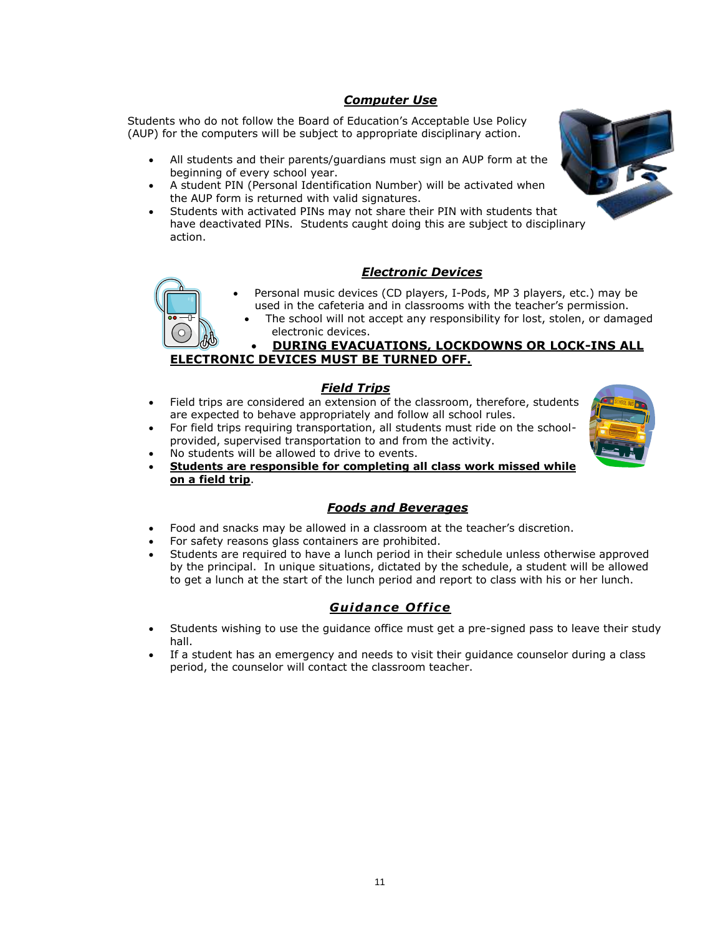# *Computer Use*

Students who do not follow the Board of Education's Acceptable Use Policy (AUP) for the computers will be subject to appropriate disciplinary action.

- All students and their parents/guardians must sign an AUP form at the beginning of every school year.
- A student PIN (Personal Identification Number) will be activated when the AUP form is returned with valid signatures.
- Students with activated PINs may not share their PIN with students that have deactivated PINs. Students caught doing this are subject to disciplinary action.

# *Electronic Devices*



- Personal music devices (CD players, I-Pods, MP 3 players, etc.) may be used in the cafeteria and in classrooms with the teacher's permission.
	- The school will not accept any responsibility for lost, stolen, or damaged electronic devices.

 **DURING EVACUATIONS, LOCKDOWNS OR LOCK-INS ALL ELECTRONIC DEVICES MUST BE TURNED OFF.**

#### *Field Trips*

- Field trips are considered an extension of the classroom, therefore, students are expected to behave appropriately and follow all school rules.
- For field trips requiring transportation, all students must ride on the schoolprovided, supervised transportation to and from the activity.
- No students will be allowed to drive to events.
- **Students are responsible for completing all class work missed while on a field trip**.

### *Foods and Beverages*

- Food and snacks may be allowed in a classroom at the teacher's discretion.
- For safety reasons glass containers are prohibited.
- Students are required to have a lunch period in their schedule unless otherwise approved by the principal. In unique situations, dictated by the schedule, a student will be allowed to get a lunch at the start of the lunch period and report to class with his or her lunch.

# *Gu idance Of f ice*

- Students wishing to use the guidance office must get a pre-signed pass to leave their study hall.
- If a student has an emergency and needs to visit their guidance counselor during a class period, the counselor will contact the classroom teacher.

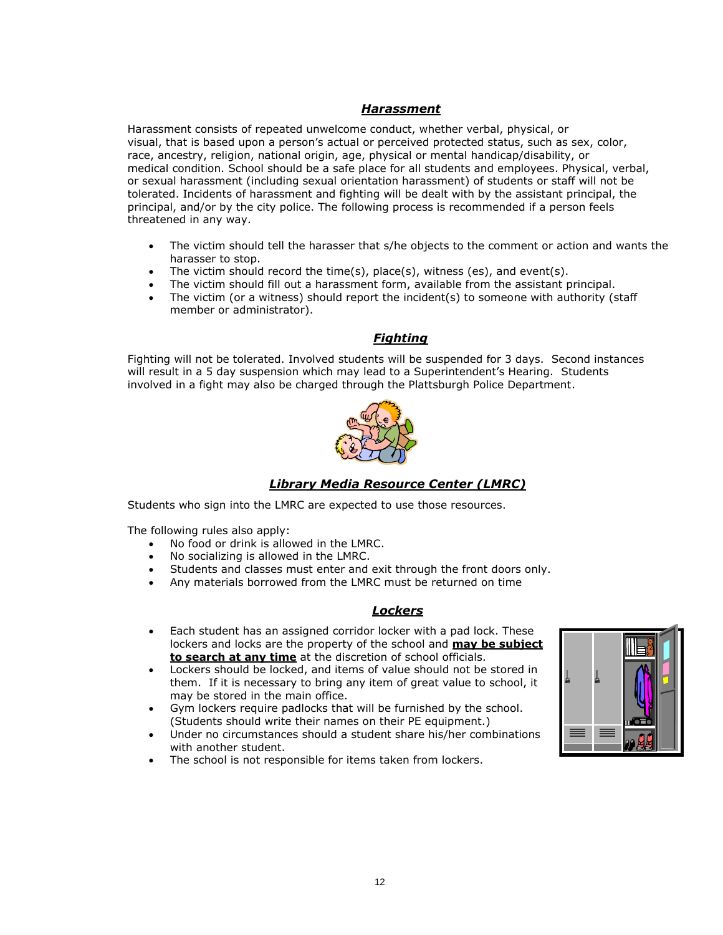#### *Harassment*

Harassment consists of repeated unwelcome conduct, whether verbal, physical, or visual, that is based upon a person's actual or perceived protected status, such as sex, color, race, ancestry, religion, national origin, age, physical or mental handicap/disability, or medical condition. School should be a safe place for all students and employees. Physical, verbal, or sexual harassment (including sexual orientation harassment) of students or staff will not be tolerated. Incidents of harassment and fighting will be dealt with by the assistant principal, the principal, and/or by the city police. The following process is recommended if a person feels threatened in any way.

- The victim should tell the harasser that s/he objects to the comment or action and wants the harasser to stop.
- The victim should record the time(s), place(s), witness (es), and event(s).
- The victim should fill out a harassment form, available from the assistant principal.
- The victim (or a witness) should report the incident(s) to someone with authority (staff member or administrator).

# *Fighting*

Fighting will not be tolerated. Involved students will be suspended for 3 days. Second instances will result in a 5 day suspension which may lead to a Superintendent's Hearing. Students involved in a fight may also be charged through the Plattsburgh Police Department.



*Library Media Resource Center (LMRC)*

Students who sign into the LMRC are expected to use those resources.

The following rules also apply:

- No food or drink is allowed in the LMRC.
- No socializing is allowed in the LMRC.
- Students and classes must enter and exit through the front doors only.
- Any materials borrowed from the LMRC must be returned on time

### *Lockers*

- Each student has an assigned corridor locker with a pad lock. These lockers and locks are the property of the school and **may be subject to search at any time** at the discretion of school officials.
- Lockers should be locked, and items of value should not be stored in them. If it is necessary to bring any item of great value to school, it may be stored in the main office.
- Gym lockers require padlocks that will be furnished by the school. (Students should write their names on their PE equipment.)
- Under no circumstances should a student share his/her combinations with another student.
- The school is not responsible for items taken from lockers.

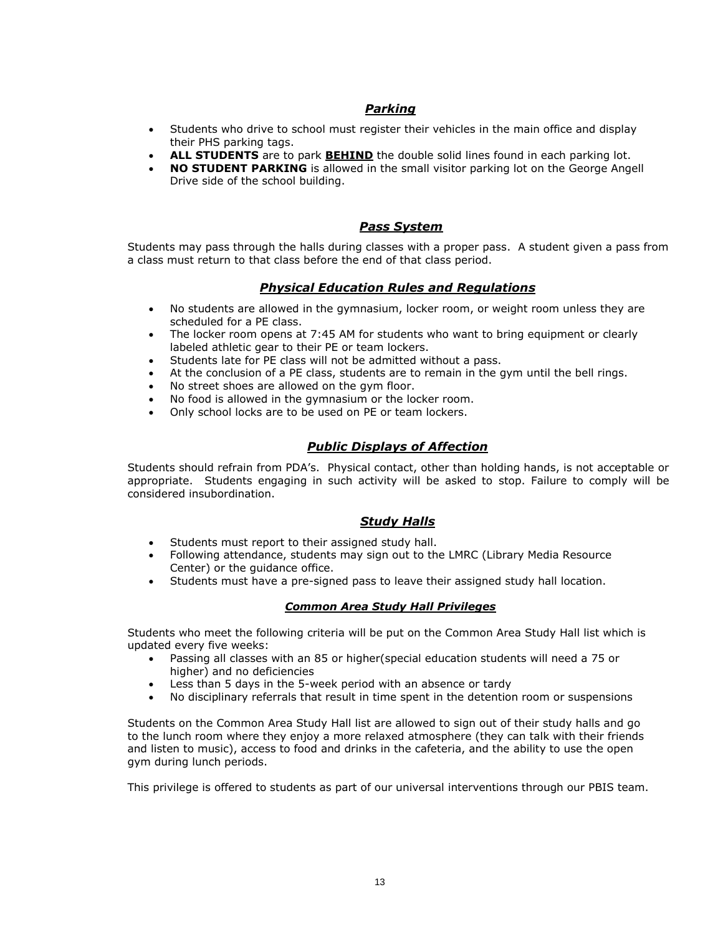## *Parking*

- Students who drive to school must register their vehicles in the main office and display their PHS parking tags.
- **ALL STUDENTS** are to park **BEHIND** the double solid lines found in each parking lot.
- **NO STUDENT PARKING** is allowed in the small visitor parking lot on the George Angell Drive side of the school building.

#### *Pass System*

Students may pass through the halls during classes with a proper pass. A student given a pass from a class must return to that class before the end of that class period.

# *Physical Education Rules and Regulations*

- No students are allowed in the gymnasium, locker room, or weight room unless they are scheduled for a PE class.
- The locker room opens at 7:45 AM for students who want to bring equipment or clearly labeled athletic gear to their PE or team lockers.
- Students late for PE class will not be admitted without a pass.
- At the conclusion of a PE class, students are to remain in the gym until the bell rings.
- No street shoes are allowed on the gym floor.
- No food is allowed in the gymnasium or the locker room.
- Only school locks are to be used on PE or team lockers.

# *Public Displays of Affection*

Students should refrain from PDA's. Physical contact, other than holding hands, is not acceptable or appropriate. Students engaging in such activity will be asked to stop. Failure to comply will be considered insubordination.

### *Study Halls*

- Students must report to their assigned study hall.
- Following attendance, students may sign out to the LMRC (Library Media Resource Center) or the guidance office.
- Students must have a pre-signed pass to leave their assigned study hall location.

#### *Common Area Study Hall Privileges*

Students who meet the following criteria will be put on the Common Area Study Hall list which is updated every five weeks:

- Passing all classes with an 85 or higher(special education students will need a 75 or higher) and no deficiencies
- Less than 5 days in the 5-week period with an absence or tardy
- No disciplinary referrals that result in time spent in the detention room or suspensions

Students on the Common Area Study Hall list are allowed to sign out of their study halls and go to the lunch room where they enjoy a more relaxed atmosphere (they can talk with their friends and listen to music), access to food and drinks in the cafeteria, and the ability to use the open gym during lunch periods.

This privilege is offered to students as part of our universal interventions through our PBIS team.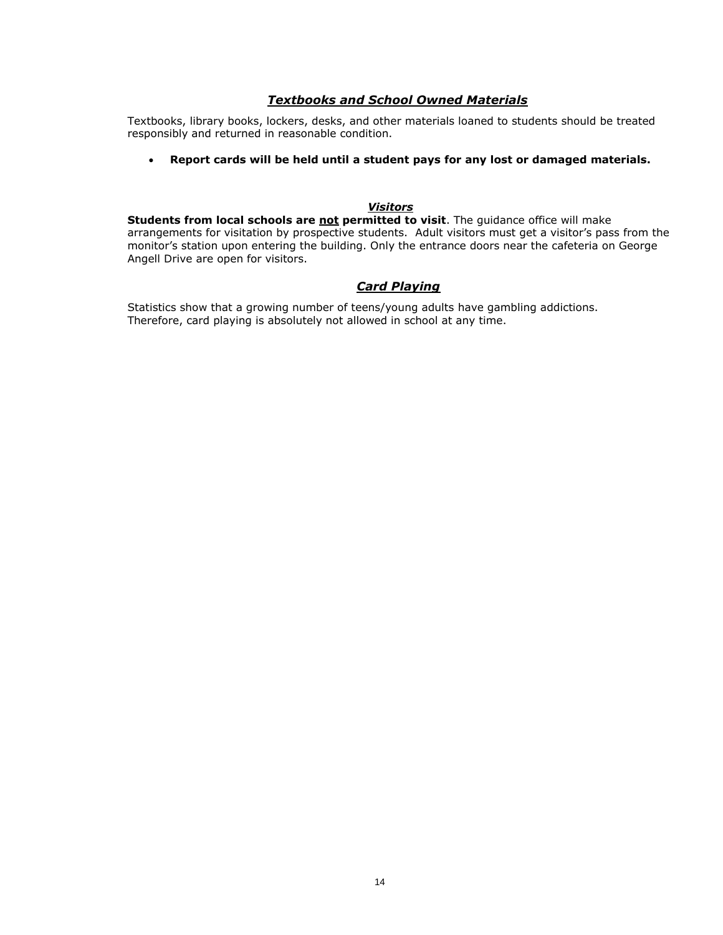# *Textbooks and School Owned Materials*

Textbooks, library books, lockers, desks, and other materials loaned to students should be treated responsibly and returned in reasonable condition.

#### **Report cards will be held until a student pays for any lost or damaged materials.**

#### *Visitors*

**Students from local schools are not permitted to visit**. The guidance office will make arrangements for visitation by prospective students. Adult visitors must get a visitor's pass from the monitor's station upon entering the building. Only the entrance doors near the cafeteria on George Angell Drive are open for visitors.

#### *Card Playing*

Statistics show that a growing number of teens/young adults have gambling addictions. Therefore, card playing is absolutely not allowed in school at any time.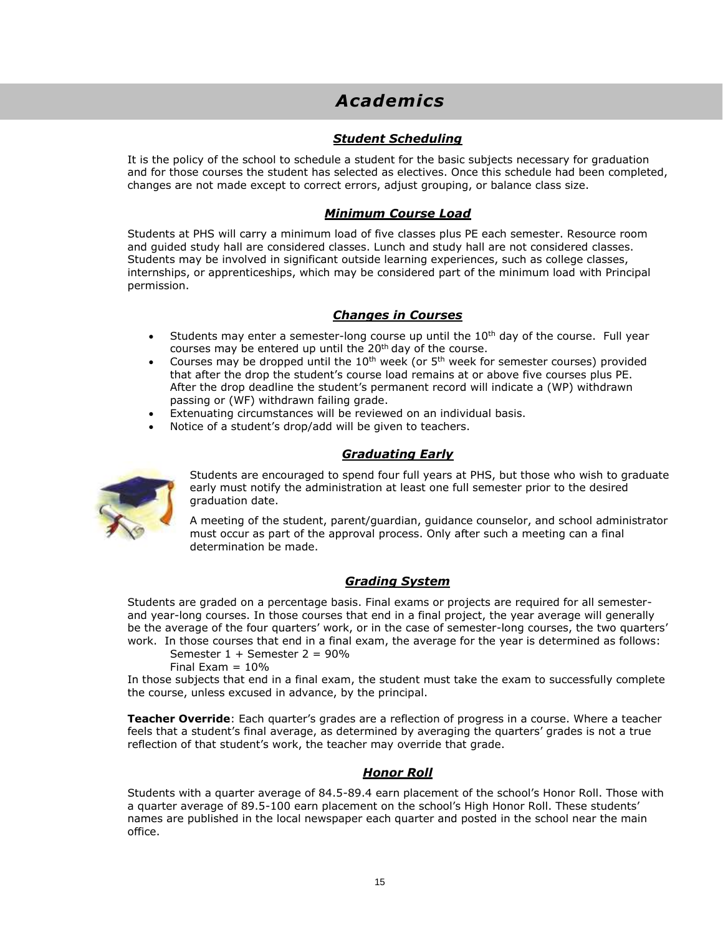# *Academics*

# *Student Scheduling*

It is the policy of the school to schedule a student for the basic subjects necessary for graduation and for those courses the student has selected as electives. Once this schedule had been completed, changes are not made except to correct errors, adjust grouping, or balance class size.

# *Minimum Course Load*

Students at PHS will carry a minimum load of five classes plus PE each semester. Resource room and guided study hall are considered classes. Lunch and study hall are not considered classes. Students may be involved in significant outside learning experiences, such as college classes, internships, or apprenticeships, which may be considered part of the minimum load with Principal permission.

# *Changes in Courses*

- **Students may enter a semester-long course up until the**  $10<sup>th</sup>$  **day of the course. Full year** courses may be entered up until the 20<sup>th</sup> day of the course.
- Courses may be dropped until the  $10^{th}$  week (or  $5^{th}$  week for semester courses) provided that after the drop the student's course load remains at or above five courses plus PE. After the drop deadline the student's permanent record will indicate a (WP) withdrawn passing or (WF) withdrawn failing grade.
- Extenuating circumstances will be reviewed on an individual basis.
- Notice of a student's drop/add will be given to teachers.

# *Graduating Early*



Students are encouraged to spend four full years at PHS, but those who wish to graduate early must notify the administration at least one full semester prior to the desired graduation date.

A meeting of the student, parent/guardian, guidance counselor, and school administrator must occur as part of the approval process. Only after such a meeting can a final determination be made.

### *Grading System*

Students are graded on a percentage basis. Final exams or projects are required for all semesterand year-long courses. In those courses that end in a final project, the year average will generally be the average of the four quarters' work, or in the case of semester-long courses, the two quarters' work. In those courses that end in a final exam, the average for the year is determined as follows:

Semester 1 + Semester 2 = 90%

Final Exam  $= 10\%$ 

In those subjects that end in a final exam, the student must take the exam to successfully complete the course, unless excused in advance, by the principal.

**Teacher Override**: Each quarter's grades are a reflection of progress in a course. Where a teacher feels that a student's final average, as determined by averaging the quarters' grades is not a true reflection of that student's work, the teacher may override that grade.

### *Honor Roll*

Students with a quarter average of 84.5-89.4 earn placement of the school's Honor Roll. Those with a quarter average of 89.5-100 earn placement on the school's High Honor Roll. These students' names are published in the local newspaper each quarter and posted in the school near the main office.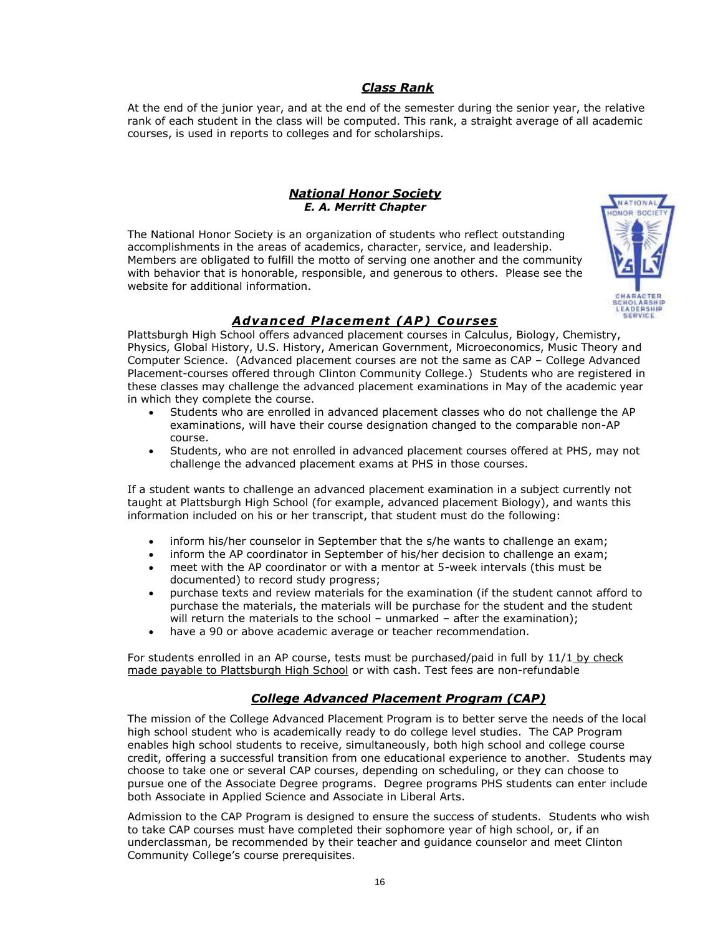#### *Class Rank*

At the end of the junior year, and at the end of the semester during the senior year, the relative rank of each student in the class will be computed. This rank, a straight average of all academic courses, is used in reports to colleges and for scholarships.

#### *National Honor Society E. A. Merritt Chapter*

The National Honor Society is an organization of students who reflect outstanding accomplishments in the areas of academics, character, service, and leadership. Members are obligated to fulfill the motto of serving one another and the community with behavior that is honorable, responsible, and generous to others. Please see the website for additional information.



# *Advanced P lacement (AP ) Courses*

Plattsburgh High School offers advanced placement courses in Calculus, Biology, Chemistry, Physics, Global History, U.S. History, American Government, Microeconomics, Music Theory and Computer Science. (Advanced placement courses are not the same as CAP – College Advanced Placement-courses offered through Clinton Community College.) Students who are registered in these classes may challenge the advanced placement examinations in May of the academic year in which they complete the course.

- Students who are enrolled in advanced placement classes who do not challenge the AP examinations, will have their course designation changed to the comparable non-AP course.
- Students, who are not enrolled in advanced placement courses offered at PHS, may not challenge the advanced placement exams at PHS in those courses.

If a student wants to challenge an advanced placement examination in a subject currently not taught at Plattsburgh High School (for example, advanced placement Biology), and wants this information included on his or her transcript, that student must do the following:

- inform his/her counselor in September that the s/he wants to challenge an exam;
- inform the AP coordinator in September of his/her decision to challenge an exam;
- meet with the AP coordinator or with a mentor at 5-week intervals (this must be documented) to record study progress;
- purchase texts and review materials for the examination (if the student cannot afford to purchase the materials, the materials will be purchase for the student and the student will return the materials to the school - unmarked - after the examination);
- have a 90 or above academic average or teacher recommendation.

For students enrolled in an AP course, tests must be purchased/paid in full by 11/1 by check made payable to Plattsburgh High School or with cash. Test fees are non-refundable

# *College Advanced Placement Program (CAP)*

The mission of the College Advanced Placement Program is to better serve the needs of the local high school student who is academically ready to do college level studies. The CAP Program enables high school students to receive, simultaneously, both high school and college course credit, offering a successful transition from one educational experience to another. Students may choose to take one or several CAP courses, depending on scheduling, or they can choose to pursue one of the Associate Degree programs. Degree programs PHS students can enter include both Associate in Applied Science and Associate in Liberal Arts.

Admission to the CAP Program is designed to ensure the success of students. Students who wish to take CAP courses must have completed their sophomore year of high school, or, if an underclassman, be recommended by their teacher and guidance counselor and meet Clinton Community College's course prerequisites.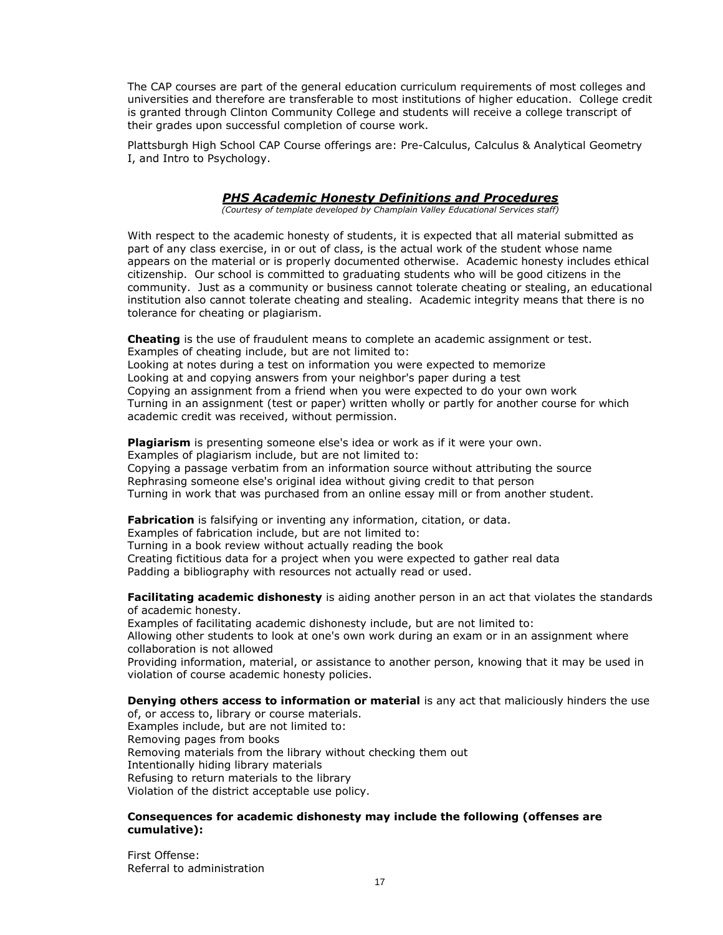The CAP courses are part of the general education curriculum requirements of most colleges and universities and therefore are transferable to most institutions of higher education. College credit is granted through Clinton Community College and students will receive a college transcript of their grades upon successful completion of course work.

Plattsburgh High School CAP Course offerings are: Pre-Calculus, Calculus & Analytical Geometry I, and Intro to Psychology.

## *PHS Academic Honesty Definitions and Procedures*

*(Courtesy of template developed by Champlain Valley Educational Services staff)*

With respect to the academic honesty of students, it is expected that all material submitted as part of any class exercise, in or out of class, is the actual work of the student whose name appears on the material or is properly documented otherwise. Academic honesty includes ethical citizenship. Our school is committed to graduating students who will be good citizens in the community. Just as a community or business cannot tolerate cheating or stealing, an educational institution also cannot tolerate cheating and stealing. Academic integrity means that there is no tolerance for cheating or plagiarism.

**Cheating** is the use of fraudulent means to complete an academic assignment or test. Examples of cheating include, but are not limited to: Looking at notes during a test on information you were expected to memorize

Looking at and copying answers from your neighbor's paper during a test Copying an assignment from a friend when you were expected to do your own work Turning in an assignment (test or paper) written wholly or partly for another course for which academic credit was received, without permission.

**Plagiarism** is presenting someone else's idea or work as if it were your own. Examples of plagiarism include, but are not limited to: Copying a passage verbatim from an information source without attributing the source Rephrasing someone else's original idea without giving credit to that person Turning in work that was purchased from an online essay mill or from another student.

**Fabrication** is falsifying or inventing any information, citation, or data.

Examples of fabrication include, but are not limited to:

Turning in a book review without actually reading the book

Creating fictitious data for a project when you were expected to gather real data Padding a bibliography with resources not actually read or used.

**Facilitating academic dishonesty** is aiding another person in an act that violates the standards of academic honesty.

Examples of facilitating academic dishonesty include, but are not limited to: Allowing other students to look at one's own work during an exam or in an assignment where collaboration is not allowed

Providing information, material, or assistance to another person, knowing that it may be used in violation of course academic honesty policies.

**Denying others access to information or material** is any act that maliciously hinders the use of, or access to, library or course materials.

Examples include, but are not limited to: Removing pages from books Removing materials from the library without checking them out Intentionally hiding library materials Refusing to return materials to the library Violation of the district acceptable use policy.

#### **Consequences for academic dishonesty may include the following (offenses are cumulative):**

First Offense: Referral to administration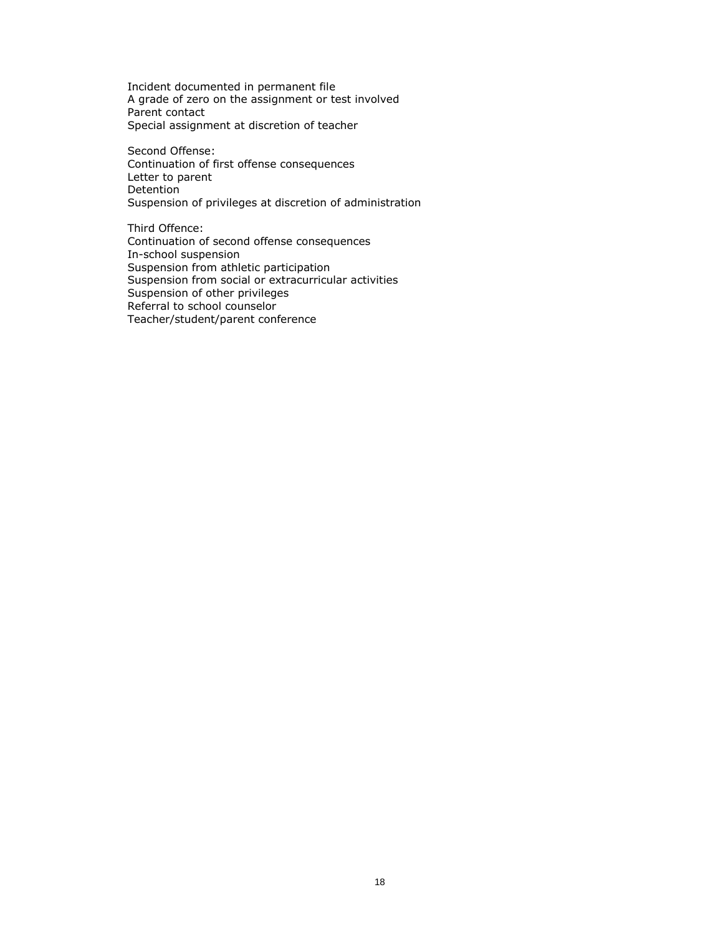Incident documented in permanent file A grade of zero on the assignment or test involved Parent contact Special assignment at discretion of teacher

Second Offense: Continuation of first offense consequences Letter to parent **Detention** Suspension of privileges at discretion of administration

Third Offence: Continuation of second offense consequences In-school suspension Suspension from athletic participation Suspension from social or extracurricular activities Suspension of other privileges Referral to school counselor Teacher/student/parent conference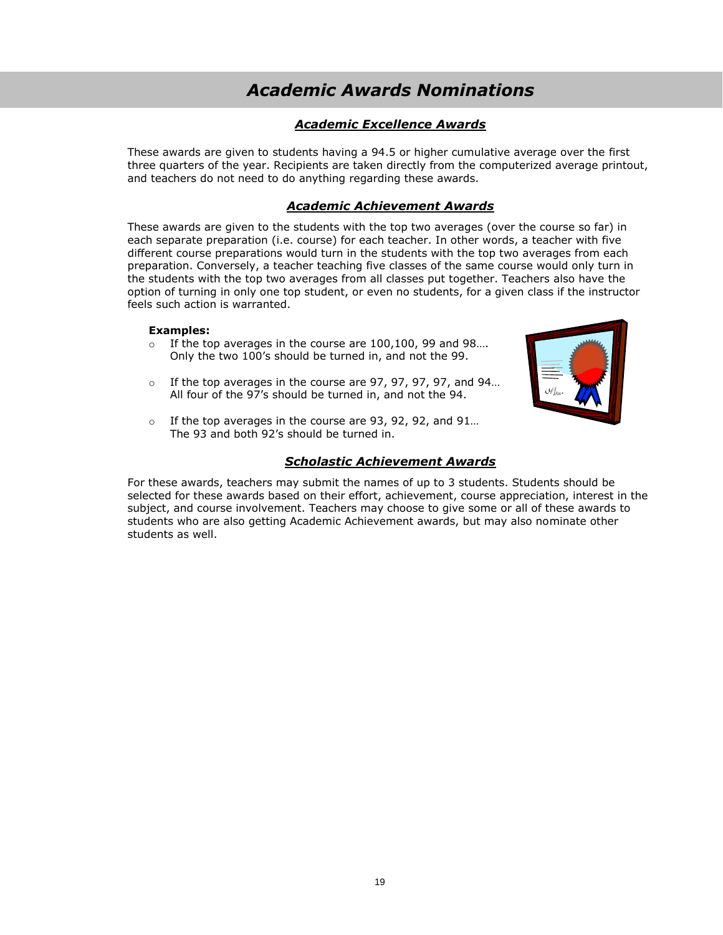# *Academic Awards Nominations*

### *Academic Excellence Awards*

These awards are given to students having a 94.5 or higher cumulative average over the first three quarters of the year. Recipients are taken directly from the computerized average printout, and teachers do not need to do anything regarding these awards.

### *Academic Achievement Awards*

These awards are given to the students with the top two averages (over the course so far) in each separate preparation (i.e. course) for each teacher. In other words, a teacher with five different course preparations would turn in the students with the top two averages from each preparation. Conversely, a teacher teaching five classes of the same course would only turn in the students with the top two averages from all classes put together. Teachers also have the option of turning in only one top student, or even no students, for a given class if the instructor feels such action is warranted.

#### **Examples:**

- o If the top averages in the course are 100,100, 99 and 98... Only the two 100's should be turned in, and not the 99.
- o If the top averages in the course are 97, 97, 97, 97, and 94… All four of the 97's should be turned in, and not the 94.



o If the top averages in the course are 93, 92, 92, and 91… The 93 and both 92's should be turned in.

# *Scholastic Achievement Awards*

For these awards, teachers may submit the names of up to 3 students. Students should be selected for these awards based on their effort, achievement, course appreciation, interest in the subject, and course involvement. Teachers may choose to give some or all of these awards to students who are also getting Academic Achievement awards, but may also nominate other students as well.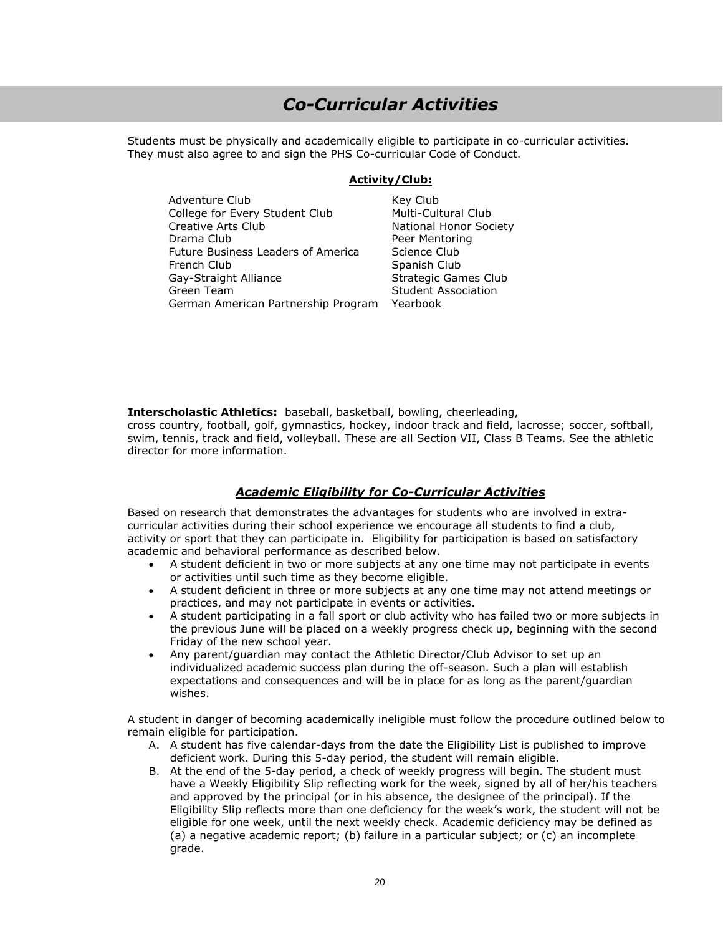# *Co-Curricular Activities*

Students must be physically and academically eligible to participate in co-curricular activities. They must also agree to and sign the PHS Co-curricular Code of Conduct.

#### **Activity/Club:**

Adventure Club Key Club College for Every Student Club Multi-Cultural Club Creative Arts Club National Honor Society<br>
Drama Club National Honor Society<br>
Peer Mentoring Future Business Leaders of America Science Club French Club Spanish Club Gay-Straight Alliance Strategic Games Club Green Team Student Association German American Partnership Program Yearbook

Peer Mentoring

**Interscholastic Athletics:** baseball, basketball, bowling, cheerleading,

cross country, football, golf, gymnastics, hockey, indoor track and field, lacrosse; soccer, softball, swim, tennis, track and field, volleyball. These are all Section VII, Class B Teams. See the athletic director for more information.

### *Academic Eligibility for Co-Curricular Activities*

Based on research that demonstrates the advantages for students who are involved in extracurricular activities during their school experience we encourage all students to find a club, activity or sport that they can participate in. Eligibility for participation is based on satisfactory academic and behavioral performance as described below.

- A student deficient in two or more subjects at any one time may not participate in events or activities until such time as they become eligible.
- A student deficient in three or more subjects at any one time may not attend meetings or practices, and may not participate in events or activities.
- A student participating in a fall sport or club activity who has failed two or more subjects in the previous June will be placed on a weekly progress check up, beginning with the second Friday of the new school year.
- Any parent/guardian may contact the Athletic Director/Club Advisor to set up an individualized academic success plan during the off-season. Such a plan will establish expectations and consequences and will be in place for as long as the parent/guardian wishes.

A student in danger of becoming academically ineligible must follow the procedure outlined below to remain eligible for participation.

- A. A student has five calendar-days from the date the Eligibility List is published to improve deficient work. During this 5-day period, the student will remain eligible.
- B. At the end of the 5-day period, a check of weekly progress will begin. The student must have a Weekly Eligibility Slip reflecting work for the week, signed by all of her/his teachers and approved by the principal (or in his absence, the designee of the principal). If the Eligibility Slip reflects more than one deficiency for the week's work, the student will not be eligible for one week, until the next weekly check. Academic deficiency may be defined as (a) a negative academic report; (b) failure in a particular subject; or (c) an incomplete grade.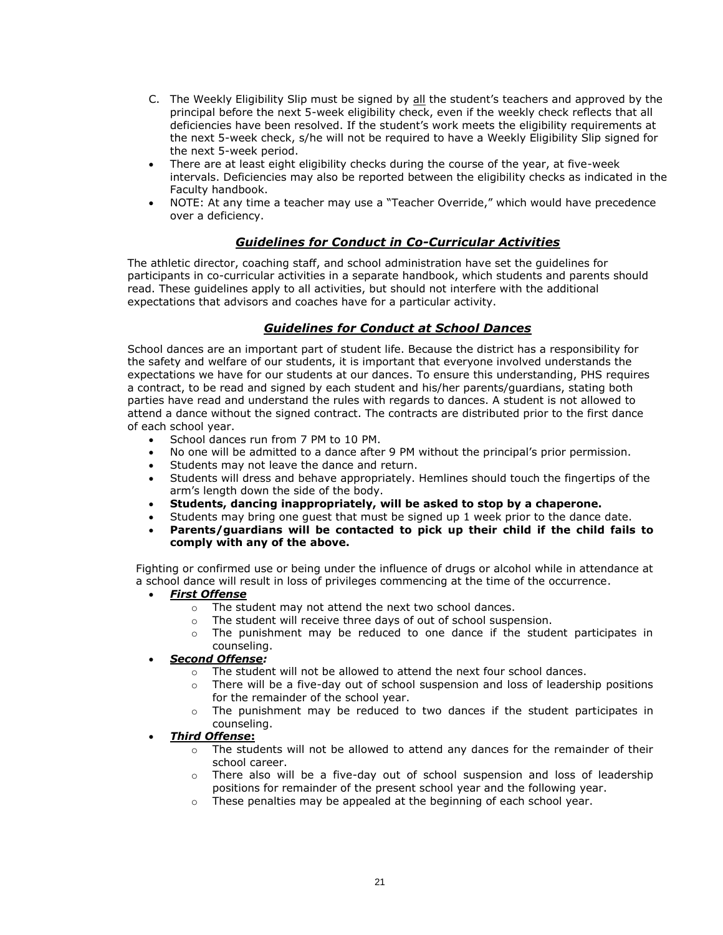- C. The Weekly Eligibility Slip must be signed by all the student's teachers and approved by the principal before the next 5-week eligibility check, even if the weekly check reflects that all deficiencies have been resolved. If the student's work meets the eligibility requirements at the next 5-week check, s/he will not be required to have a Weekly Eligibility Slip signed for the next 5-week period.
- There are at least eight eligibility checks during the course of the year, at five-week intervals. Deficiencies may also be reported between the eligibility checks as indicated in the Faculty handbook.
- NOTE: At any time a teacher may use a "Teacher Override," which would have precedence over a deficiency.

### *Guidelines for Conduct in Co-Curricular Activities*

The athletic director, coaching staff, and school administration have set the guidelines for participants in co-curricular activities in a separate handbook, which students and parents should read. These guidelines apply to all activities, but should not interfere with the additional expectations that advisors and coaches have for a particular activity.

### *Guidelines for Conduct at School Dances*

School dances are an important part of student life. Because the district has a responsibility for the safety and welfare of our students, it is important that everyone involved understands the expectations we have for our students at our dances. To ensure this understanding, PHS requires a contract, to be read and signed by each student and his/her parents/guardians, stating both parties have read and understand the rules with regards to dances. A student is not allowed to attend a dance without the signed contract. The contracts are distributed prior to the first dance of each school year.

- School dances run from 7 PM to 10 PM.
- No one will be admitted to a dance after 9 PM without the principal's prior permission.
- Students may not leave the dance and return.
- Students will dress and behave appropriately. Hemlines should touch the fingertips of the arm's length down the side of the body.
- **Students, dancing inappropriately, will be asked to stop by a chaperone.**
	- Students may bring one guest that must be signed up 1 week prior to the dance date.
- **Parents/guardians will be contacted to pick up their child if the child fails to comply with any of the above.**

Fighting or confirmed use or being under the influence of drugs or alcohol while in attendance at a school dance will result in loss of privileges commencing at the time of the occurrence.

#### *First Offense*

- o The student may not attend the next two school dances.
- $\circ$  The student will receive three days of out of school suspension.
- $\circ$  The punishment may be reduced to one dance if the student participates in counseling.

#### *Second Offense:*

- 
- o The student will not be allowed to attend the next four school dances.<br>
o There will be a five-day out of school suspension and loss of leadersh There will be a five-day out of school suspension and loss of leadership positions for the remainder of the school year.
- $\circ$  The punishment may be reduced to two dances if the student participates in counseling.

#### *Third Offense***:**

- $\circ$  The students will not be allowed to attend any dances for the remainder of their school career.
- $\circ$  There also will be a five-day out of school suspension and loss of leadership positions for remainder of the present school year and the following year.
- $\circ$  These penalties may be appealed at the beginning of each school year.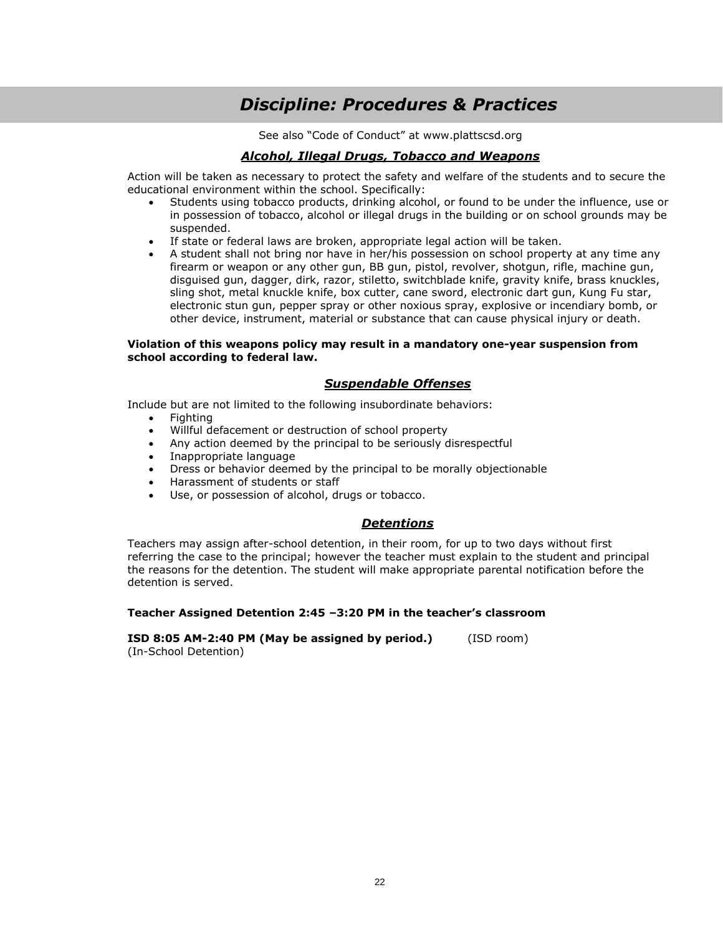# *Discipline: Procedures & Practices*

See also "Code of Conduct" at www.plattscsd.org

# *Alcohol, Illegal Drugs, Tobacco and Weapons*

Action will be taken as necessary to protect the safety and welfare of the students and to secure the educational environment within the school. Specifically:

- Students using tobacco products, drinking alcohol, or found to be under the influence, use or in possession of tobacco, alcohol or illegal drugs in the building or on school grounds may be suspended.
- If state or federal laws are broken, appropriate legal action will be taken.
- A student shall not bring nor have in her/his possession on school property at any time any firearm or weapon or any other gun, BB gun, pistol, revolver, shotgun, rifle, machine gun, disguised gun, dagger, dirk, razor, stiletto, switchblade knife, gravity knife, brass knuckles, sling shot, metal knuckle knife, box cutter, cane sword, electronic dart gun, Kung Fu star, electronic stun gun, pepper spray or other noxious spray, explosive or incendiary bomb, or other device, instrument, material or substance that can cause physical injury or death.

#### **Violation of this weapons policy may result in a mandatory one-year suspension from school according to federal law.**

#### *Suspendable Offenses*

Include but are not limited to the following insubordinate behaviors:

- Fighting
- Willful defacement or destruction of school property
- Any action deemed by the principal to be seriously disrespectful
- Inappropriate language
- Dress or behavior deemed by the principal to be morally objectionable
- Harassment of students or staff
- Use, or possession of alcohol, drugs or tobacco.

#### *Detentions*

Teachers may assign after-school detention, in their room, for up to two days without first referring the case to the principal; however the teacher must explain to the student and principal the reasons for the detention. The student will make appropriate parental notification before the detention is served.

#### **Teacher Assigned Detention 2:45 –3:20 PM in the teacher's classroom**

### **ISD 8:05 AM-2:40 PM (May be assigned by period.)** (ISD room)

(In-School Detention)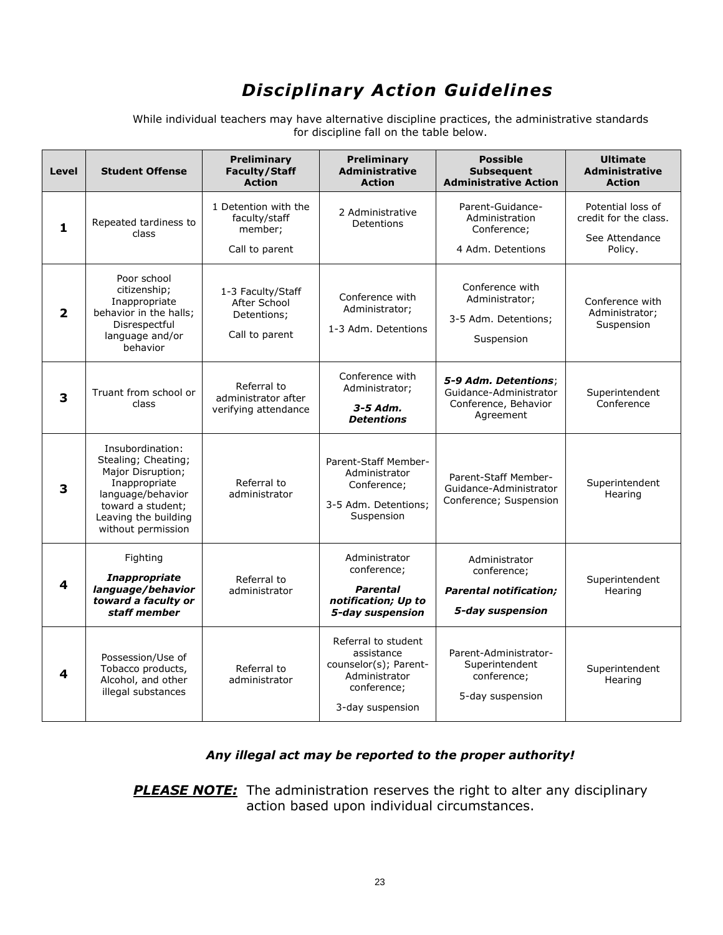# *Disciplinary Action Guidelines*

While individual teachers may have alternative discipline practices, the administrative standards for discipline fall on the table below.

| Level        | <b>Student Offense</b>                                                                                                                                                | <b>Preliminary</b><br><b>Faculty/Staff</b><br><b>Action</b>        | Preliminary<br><b>Administrative</b><br><b>Action</b>                                                          | <b>Possible</b><br><b>Subsequent</b><br><b>Administrative Action</b>                | <b>Ultimate</b><br><b>Administrative</b><br><b>Action</b>               |
|--------------|-----------------------------------------------------------------------------------------------------------------------------------------------------------------------|--------------------------------------------------------------------|----------------------------------------------------------------------------------------------------------------|-------------------------------------------------------------------------------------|-------------------------------------------------------------------------|
| 1            | Repeated tardiness to<br>class                                                                                                                                        | 1 Detention with the<br>faculty/staff<br>member;<br>Call to parent | 2 Administrative<br>Detentions                                                                                 | Parent-Guidance-<br>Administration<br>Conference;<br>4 Adm. Detentions              | Potential loss of<br>credit for the class.<br>See Attendance<br>Policy. |
| $\mathbf{z}$ | Poor school<br>citizenship;<br>Inappropriate<br>behavior in the halls:<br>Disrespectful<br>language and/or<br>behavior                                                | 1-3 Faculty/Staff<br>After School<br>Detentions;<br>Call to parent | Conference with<br>Administrator;<br>1-3 Adm. Detentions                                                       | Conference with<br>Administrator;<br>3-5 Adm. Detentions;<br>Suspension             | Conference with<br>Administrator;<br>Suspension                         |
| 3            | Truant from school or<br>class                                                                                                                                        | Referral to<br>administrator after<br>verifying attendance         | Conference with<br>Administrator;<br>3-5 Adm.<br><b>Detentions</b>                                             | 5-9 Adm. Detentions;<br>Guidance-Administrator<br>Conference, Behavior<br>Agreement | Superintendent<br>Conference                                            |
| 3            | Insubordination:<br>Stealing; Cheating;<br>Major Disruption;<br>Inappropriate<br>language/behavior<br>toward a student;<br>Leaving the building<br>without permission | Referral to<br>administrator                                       | Parent-Staff Member-<br>Administrator<br>Conference;<br>3-5 Adm. Detentions;<br>Suspension                     | Parent-Staff Member-<br>Guidance-Administrator<br>Conference; Suspension            | Superintendent<br>Hearing                                               |
| 4            | Fighting<br><b>Inappropriate</b><br>language/behavior<br>toward a faculty or<br>staff member                                                                          | Referral to<br>administrator                                       | Administrator<br>conference;<br><b>Parental</b><br>notification; Up to<br>5-day suspension                     | Administrator<br>conference;<br><b>Parental notification;</b><br>5-day suspension   | Superintendent<br>Hearing                                               |
| 4            | Possession/Use of<br>Tobacco products,<br>Alcohol, and other<br>illegal substances                                                                                    | Referral to<br>administrator                                       | Referral to student<br>assistance<br>counselor(s); Parent-<br>Administrator<br>conference;<br>3-day suspension | Parent-Administrator-<br>Superintendent<br>conference;<br>5-day suspension          | Superintendent<br>Hearing                                               |

# *Any illegal act may be reported to the proper authority!*

**PLEASE NOTE:** The administration reserves the right to alter any disciplinary action based upon individual circumstances.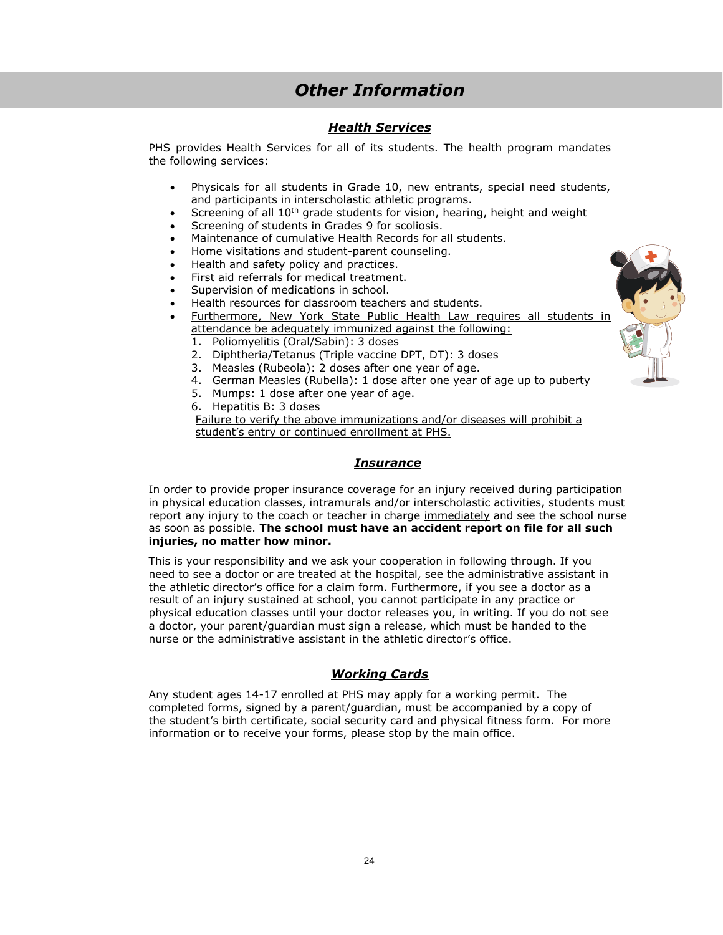# *Other Information*

#### *Health Services*

PHS provides Health Services for all of its students. The health program mandates the following services:

- Physicals for all students in Grade 10, new entrants, special need students, and participants in interscholastic athletic programs.
- Screening of all 10<sup>th</sup> grade students for vision, hearing, height and weight
- Screening of students in Grades 9 for scoliosis.
- Maintenance of cumulative Health Records for all students.
- Home visitations and student-parent counseling.
- Health and safety policy and practices.
- First aid referrals for medical treatment.
- Supervision of medications in school.
- Health resources for classroom teachers and students.
- Furthermore, New York State Public Health Law requires all students in attendance be adequately immunized against the following:
	- 1. Poliomyelitis (Oral/Sabin): 3 doses
	- 2. Diphtheria/Tetanus (Triple vaccine DPT, DT): 3 doses
	- 3. Measles (Rubeola): 2 doses after one year of age.
	- 4. German Measles (Rubella): 1 dose after one year of age up to puberty
	- 5. Mumps: 1 dose after one year of age.
	- 6. Hepatitis B: 3 doses

Failure to verify the above immunizations and/or diseases will prohibit a student's entry or continued enrollment at PHS.

#### *Insurance*

In order to provide proper insurance coverage for an injury received during participation in physical education classes, intramurals and/or interscholastic activities, students must report any injury to the coach or teacher in charge immediately and see the school nurse as soon as possible. **The school must have an accident report on file for all such injuries, no matter how minor.**

This is your responsibility and we ask your cooperation in following through. If you need to see a doctor or are treated at the hospital, see the administrative assistant in the athletic director's office for a claim form. Furthermore, if you see a doctor as a result of an injury sustained at school, you cannot participate in any practice or physical education classes until your doctor releases you, in writing. If you do not see a doctor, your parent/guardian must sign a release, which must be handed to the nurse or the administrative assistant in the athletic director's office.

#### *Working Cards*

Any student ages 14-17 enrolled at PHS may apply for a working permit. The completed forms, signed by a parent/guardian, must be accompanied by a copy of the student's birth certificate, social security card and physical fitness form. For more information or to receive your forms, please stop by the main office.

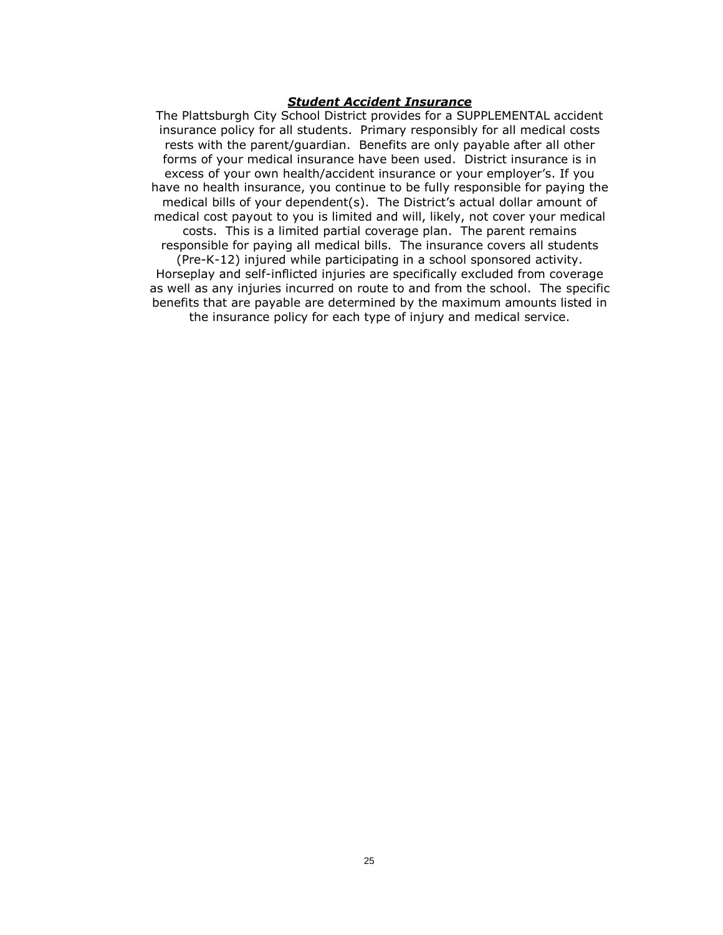#### *Student Accident Insurance*

The Plattsburgh City School District provides for a SUPPLEMENTAL accident insurance policy for all students. Primary responsibly for all medical costs rests with the parent/guardian. Benefits are only payable after all other forms of your medical insurance have been used. District insurance is in excess of your own health/accident insurance or your employer's. If you have no health insurance, you continue to be fully responsible for paying the medical bills of your dependent(s). The District's actual dollar amount of medical cost payout to you is limited and will, likely, not cover your medical costs. This is a limited partial coverage plan. The parent remains responsible for paying all medical bills. The insurance covers all students (Pre-K-12) injured while participating in a school sponsored activity. Horseplay and self-inflicted injuries are specifically excluded from coverage as well as any injuries incurred on route to and from the school. The specific benefits that are payable are determined by the maximum amounts listed in the insurance policy for each type of injury and medical service.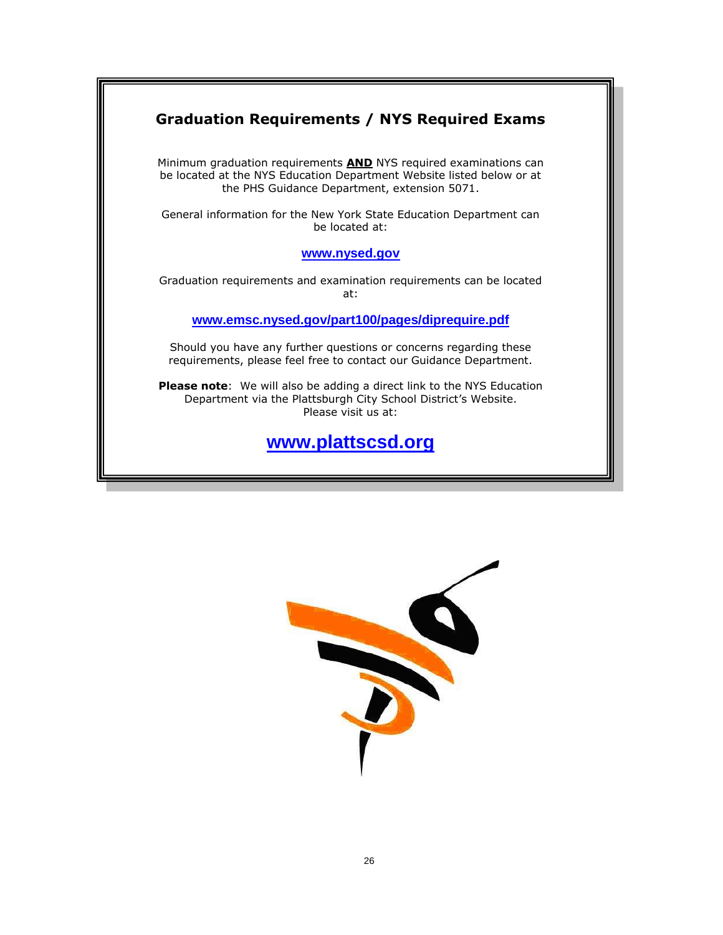